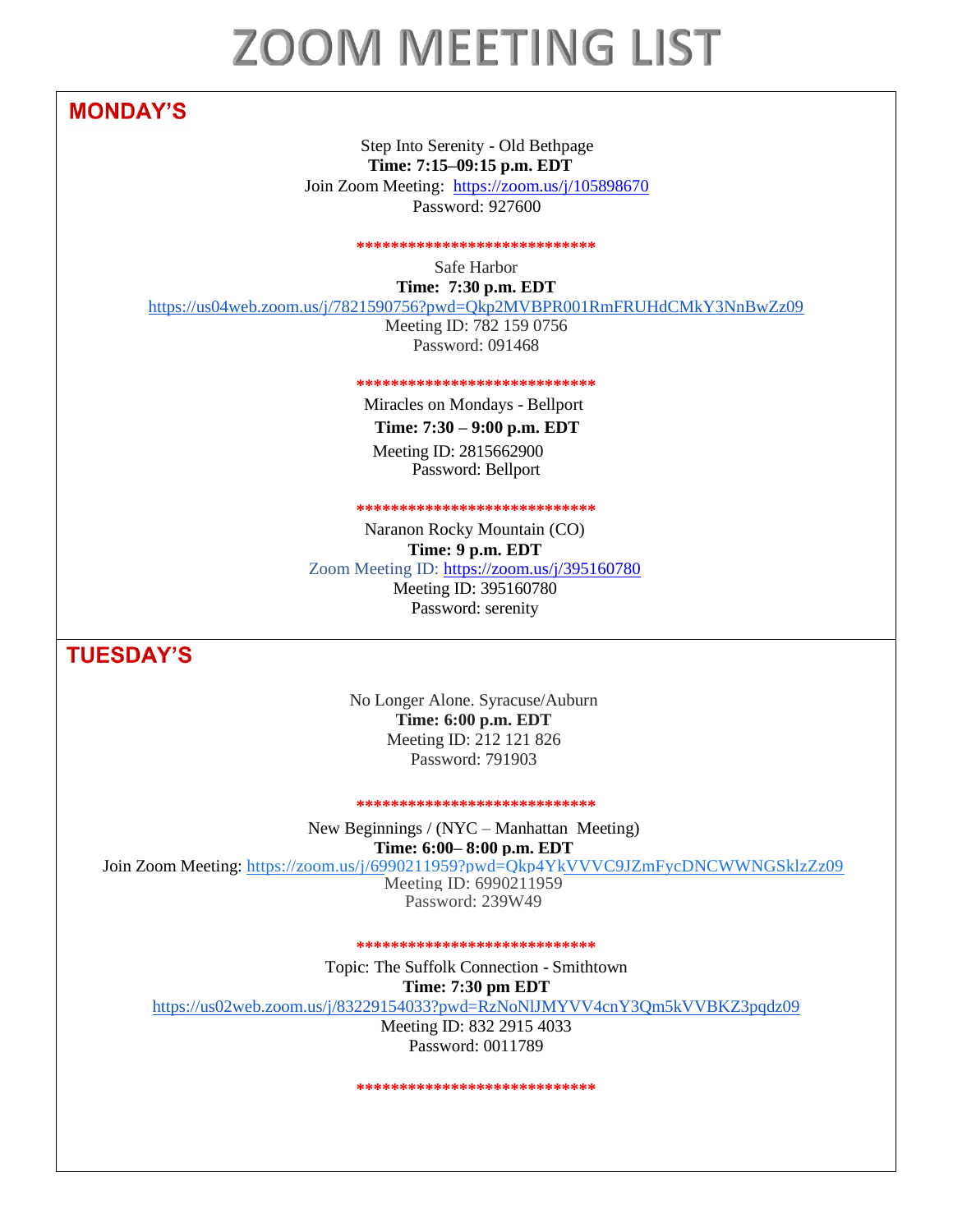# **ZOOM MEETING LIST**

# **MONDAY'S**

Step Into Serenity - Old Bethpage **Time: 7:15–09:15 p.m. EDT**

Join Zoom Meeting: [https://zoom.us/j/105898670](https://zo/) Password: 927600

**\*\*\*\*\*\*\*\*\*\*\*\*\*\*\*\*\*\*\*\*\*\*\*\*\*\*\*\***

Safe Harbor **Time: 7:30 p.m. EDT**

<https://us04web.zoom.us/j/7821590756?pwd=Qkp2MVBPR001RmFRUHdCMkY3NnBwZz09>

Meeting ID: 782 159 0756 Password: 091468

**\*\*\*\*\*\*\*\*\*\*\*\*\*\*\*\*\*\*\*\*\*\*\*\*\*\*\*\***

Miracles on Mondays - Bellport **Time: 7:30 – 9:00 p.m. EDT** Meeting ID: 2815662900 Password: Bellport

## **\*\*\*\*\*\*\*\*\*\*\*\*\*\*\*\*\*\*\*\*\*\*\*\*\*\*\*\***

Naranon Rocky Mountain (CO) **Time: 9 p.m. EDT** Zoom Meeting ID:<https://zoom.us/j/395160780>

Meeting ID: 395160780 Password: serenity

**TUESDAY'S** 

No Longer Alone. Syracuse/Auburn **Time: 6:00 p.m. EDT** Meeting ID: 212 121 826 Password: 791903

#### **\*\*\*\*\*\*\*\*\*\*\*\*\*\*\*\*\*\*\*\*\*\*\*\*\*\*\*\***

New Beginnings / (NYC – Manhattan Meeting)

**Time: 6:00– 8:00 p.m. EDT**

Join Zoom Meeting: [https://zoom.us/j/6990211959?pwd=Qkp4YkVVVC9JZmFycDNCWWNGSklzZz09](https://www.google.com/url?q=https://zoom.us/j/6990211959?pwd%3DQkp4YkVVVC9JZmFycDNCWWNGSklzZz09&sa=D&usd=2&usg=AOvVaw30JU3n-Te8guZxj3hNnDcF) Meeting ID: 6990211959

Password: 239W49

**\*\*\*\*\*\*\*\*\*\*\*\*\*\*\*\*\*\*\*\*\*\*\*\*\*\*\*\***

Topic: The Suffolk Connection - Smithtown

**Time: 7:30 pm EDT**

<https://us02web.zoom.us/j/83229154033?pwd=RzNoNlJMYVV4cnY3Qm5kVVBKZ3pqdz09>

Meeting ID: 832 2915 4033 Password: 0011789

\*\*\*\*\*\*\*\*\*\*\*\*\*\*\*\*\*\*\*\*\*\*\*\*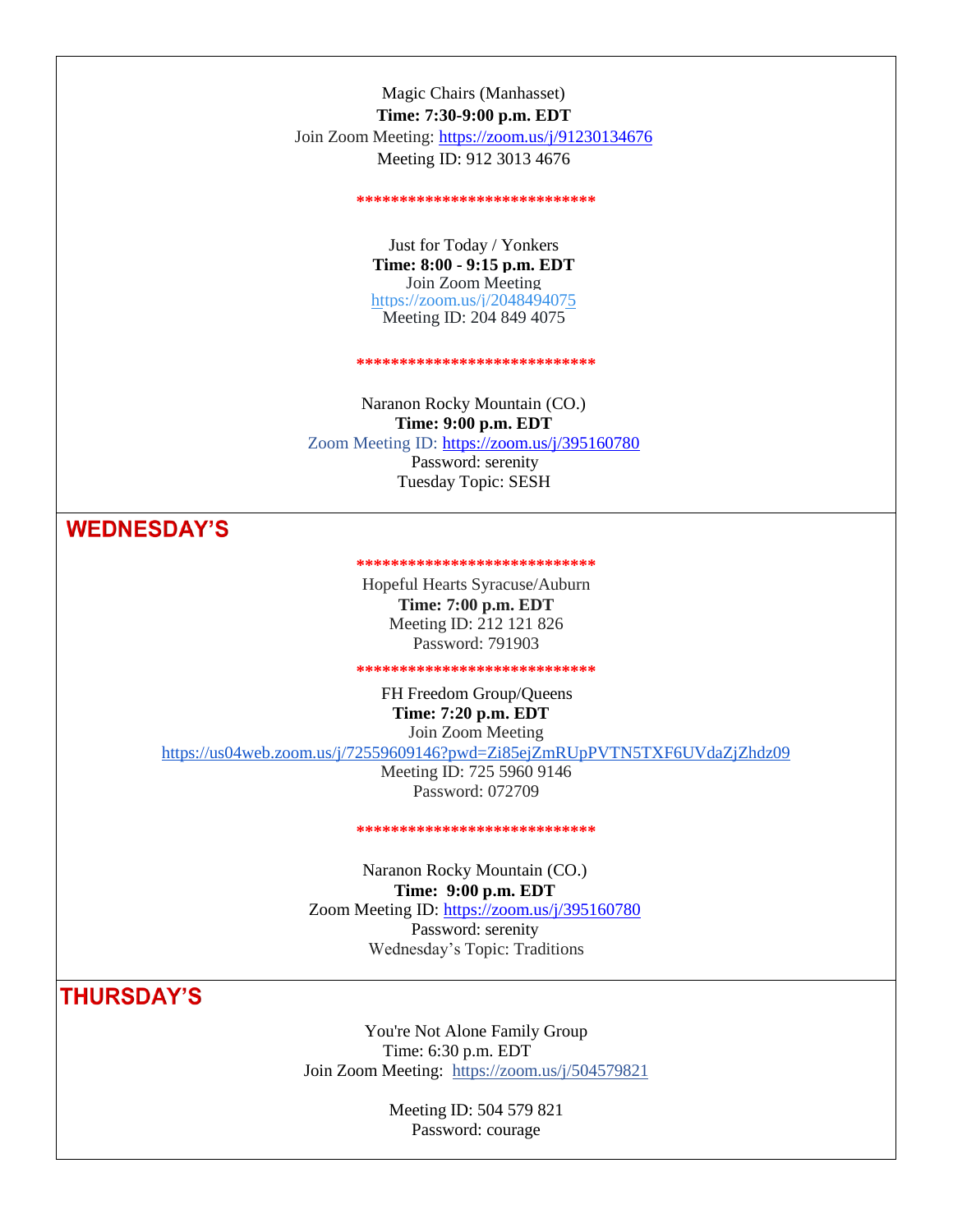Magic Chairs (Manhasset) **Time: 7:30-9:00 p.m. EDT** Join Zoom Meeting:<https://zoom.us/j/91230134676> Meeting ID: 912 3013 4676

#### **\*\*\*\*\*\*\*\*\*\*\*\*\*\*\*\*\*\*\*\*\*\*\*\*\*\*\*\***

Just for Today / Yonkers **Time: 8:00 - 9:15 p.m. EDT** Join Zoom Meeting <https://zoom.us/j/2048494075> Meeting ID: 204 849 4075

**\*\*\*\*\*\*\*\*\*\*\*\*\*\*\*\*\*\*\*\*\*\*\*\*\*\*\*\***

Naranon Rocky Mountain (CO.) **Time: 9:00 p.m. EDT** Zoom Meeting ID:<https://zoom.us/j/395160780> Password: serenity Tuesday Topic: SESH

## **WEDNESDAY'S**

**\*\*\*\*\*\*\*\*\*\*\*\*\*\*\*\*\*\*\*\*\*\*\*\*\*\*\*\***

Hopeful Hearts Syracuse/Auburn **Time: 7:00 p.m. EDT** Meeting ID: 212 121 826 Password: 791903

**\*\*\*\*\*\*\*\*\*\*\*\*\*\*\*\*\*\*\*\*\*\*\*\*\*\*\*\***

FH Freedom Group/Queens **Time: 7:20 p.m. EDT** Join Zoom Meeting

<https://us04web.zoom.us/j/72559609146?pwd=Zi85ejZmRUpPVTN5TXF6UVdaZjZhdz09>

Meeting ID: 725 5960 9146 Password: 072709

**\*\*\*\*\*\*\*\*\*\*\*\*\*\*\*\*\*\*\*\*\*\*\*\*\*\*\*\***

Naranon Rocky Mountain (CO.) **Time: 9:00 p.m. EDT** Zoom Meeting ID:<https://zoom.us/j/395160780> Password: serenity Wednesday's Topic: Traditions

**THURSDAY'S** 

You're Not Alone Family Group Time: 6:30 p.m. EDT Join Zoom Meeting: https://zoom.us/j/504579821

> Meeting ID: 504 579 821 Password: courage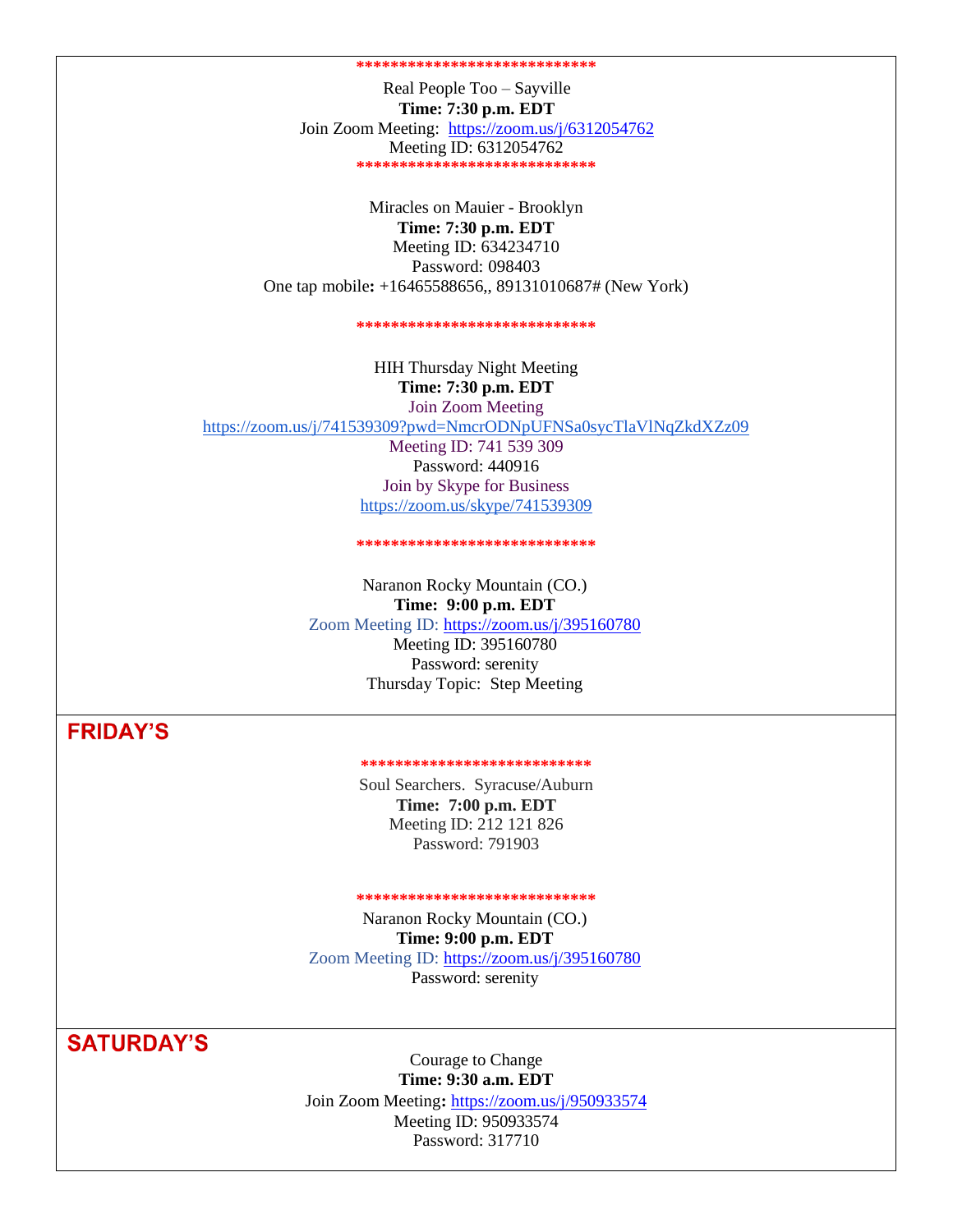#### **\*\*\*\*\*\*\*\*\*\*\*\*\*\*\*\*\*\*\*\*\*\*\*\*\*\*\*\***

Real People Too – Sayville **Time: 7:30 p.m. EDT** Join Zoom Meeting: <https://zoom.us/j/6312054762> Meeting ID: 6312054762 **\*\*\*\*\*\*\*\*\*\*\*\*\*\*\*\*\*\*\*\*\*\*\*\*\*\*\*\***

Miracles on Mauier - Brooklyn **Time: 7:30 p.m. EDT** Meeting ID: 634234710 Password: 098403 One tap mobile**:** +16465588656,, 89131010687# (New York)

#### **\*\*\*\*\*\*\*\*\*\*\*\*\*\*\*\*\*\*\*\*\*\*\*\*\*\*\*\***

HIH Thursday Night Meeting **Time: 7:30 p.m. EDT** Join Zoom Meeting <https://zoom.us/j/741539309?pwd=NmcrODNpUFNSa0sycTlaVlNqZkdXZz09> Meeting ID: 741 539 309 Password: 440916 Join by Skype for Business <https://zoom.us/skype/741539309>

#### **\*\*\*\*\*\*\*\*\*\*\*\*\*\*\*\*\*\*\*\*\*\*\*\*\*\*\*\***

Naranon Rocky Mountain (CO.) **Time: 9:00 p.m. EDT** Zoom Meeting ID:<https://zoom.us/j/395160780> Meeting ID: 395160780

Password: serenity Thursday Topic: Step Meeting

## **FRIDAY'S**

#### **\*\*\*\*\*\*\*\*\*\*\*\*\*\*\*\*\*\*\*\*\*\*\*\*\*\*\***

Soul Searchers. Syracuse/Auburn **Time: 7:00 p.m. EDT** Meeting ID: 212 121 826 Password: 791903

### **\*\*\*\*\*\*\*\*\*\*\*\*\*\*\*\*\*\*\*\*\*\*\*\*\*\*\*\***

Naranon Rocky Mountain (CO.) **Time: 9:00 p.m. EDT** Zoom Meeting ID:<https://zoom.us/j/395160780> Password: serenity

# **SATURDAY'S**

Courage to Change **Time: 9:30 a.m. EDT**

Join Zoom Meeting**:** <https://zoom.us/j/950933574> Meeting ID: 950933574 Password: 317710